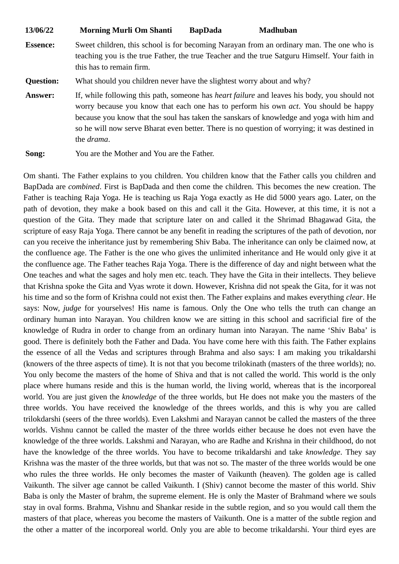| 13/06/22         | <b>Morning Murli Om Shanti</b>                                                                                                                                                                                                                                                                                                                                                                                 | <b>BapDada</b> | <b>Madhuban</b> |
|------------------|----------------------------------------------------------------------------------------------------------------------------------------------------------------------------------------------------------------------------------------------------------------------------------------------------------------------------------------------------------------------------------------------------------------|----------------|-----------------|
| <b>Essence:</b>  | Sweet children, this school is for becoming Narayan from an ordinary man. The one who is<br>teaching you is the true Father, the true Teacher and the true Satguru Himself. Your faith in<br>this has to remain firm.                                                                                                                                                                                          |                |                 |
| <b>Question:</b> | What should you children never have the slightest worry about and why?                                                                                                                                                                                                                                                                                                                                         |                |                 |
| <b>Answer:</b>   | If, while following this path, someone has <i>heart failure</i> and leaves his body, you should not<br>worry because you know that each one has to perform his own <i>act</i> . You should be happy<br>because you know that the soul has taken the sanskars of knowledge and yoga with him and<br>so he will now serve Bharat even better. There is no question of worrying; it was destined in<br>the drama. |                |                 |
| Song:            | You are the Mother and You are the Father.                                                                                                                                                                                                                                                                                                                                                                     |                |                 |

Om shanti. The Father explains to you children. You children know that the Father calls you children and BapDada are *combined*. First is BapDada and then come the children. This becomes the new creation. The Father is teaching Raja Yoga. He is teaching us Raja Yoga exactly as He did 5000 years ago. Later, on the path of devotion, they make a book based on this and call it the Gita. However, at this time, it is not a question of the Gita. They made that scripture later on and called it the Shrimad Bhagawad Gita, the scripture of easy Raja Yoga. There cannot be any benefit in reading the scriptures of the path of devotion, nor can you receive the inheritance just by remembering Shiv Baba. The inheritance can only be claimed now, at the confluence age. The Father is the one who gives the unlimited inheritance and He would only give it at the confluence age. The Father teaches Raja Yoga. There is the difference of day and night between what the One teaches and what the sages and holy men etc. teach. They have the Gita in their intellects. They believe that Krishna spoke the Gita and Vyas wrote it down. However, Krishna did not speak the Gita, for it was not his time and so the form of Krishna could not exist then. The Father explains and makes everything *clear*. He says: Now, *judge* for yourselves! His name is famous. Only the One who tells the truth can change an ordinary human into Narayan. You children know we are sitting in this school and sacrificial fire of the knowledge of Rudra in order to change from an ordinary human into Narayan. The name 'Shiv Baba' is good. There is definitely both the Father and Dada. You have come here with this faith. The Father explains the essence of all the Vedas and scriptures through Brahma and also says: I am making you trikaldarshi (knowers of the three aspects of time). It is not that you become trilokinath (masters of the three worlds); no. You only become the masters of the home of Shiva and that is not called the world. This world is the only place where humans reside and this is the human world, the living world, whereas that is the incorporeal world. You are just given the *knowledge* of the three worlds, but He does not make you the masters of the three worlds. You have received the knowledge of the threes worlds, and this is why you are called trilokdarshi (seers of the three worlds). Even Lakshmi and Narayan cannot be called the masters of the three worlds. Vishnu cannot be called the master of the three worlds either because he does not even have the knowledge of the three worlds. Lakshmi and Narayan, who are Radhe and Krishna in their childhood, do not have the knowledge of the three worlds. You have to become trikaldarshi and take *knowledge*. They say Krishna was the master of the three worlds, but that was not so. The master of the three worlds would be one who rules the three worlds. He only becomes the master of Vaikunth (heaven). The golden age is called Vaikunth. The silver age cannot be called Vaikunth. I (Shiv) cannot become the master of this world. Shiv Baba is only the Master of brahm, the supreme element. He is only the Master of Brahmand where we souls stay in oval forms. Brahma, Vishnu and Shankar reside in the subtle region, and so you would call them the masters of that place, whereas you become the masters of Vaikunth. One is a matter of the subtle region and the other a matter of the incorporeal world. Only you are able to become trikaldarshi. Your third eyes are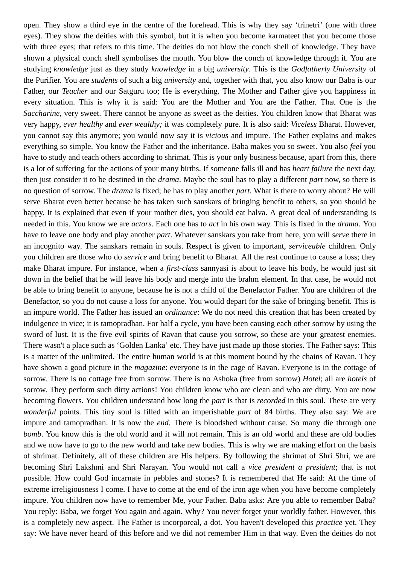open. They show a third eye in the centre of the forehead. This is why they say 'trinetri' (one with three eyes). They show the deities with this symbol, but it is when you become karmateet that you become those with three eyes; that refers to this time. The deities do not blow the conch shell of knowledge. They have shown a physical conch shell symbolises the mouth. You blow the conch of knowledge through it. You are studying *knowledge* just as they study *knowledge* in a big *university*. This is the *Godfatherly University* of the Purifier. You are *students* of such a big *university* and, together with that, you also know our Baba is our Father, our *Teacher* and our Satguru too; He is everything. The Mother and Father give you happiness in every situation. This is why it is said: You are the Mother and You are the Father. That One is the *Saccharine*, very sweet. There cannot be anyone as sweet as the deities. You children know that Bharat was very happy, *ever healthy* and *ever wealthy;* it was completely pure. It is also said: *Viceless* Bharat. However, you cannot say this anymore; you would now say it is *vicious* and impure. The Father explains and makes everything so simple. You know the Father and the inheritance. Baba makes you so sweet. You also *feel* you have to study and teach others according to shrimat. This is your only business because, apart from this, there is a lot of suffering for the actions of your many births. If someone falls ill and has *heart failure* the next day, then just consider it to be destined in the *drama*. Maybe the soul has to play a different *part* now, so there is no question of sorrow. The *drama* is fixed; he has to play another *part*. What is there to worry about? He will serve Bharat even better because he has taken such sanskars of bringing benefit to others, so you should be happy. It is explained that even if your mother dies, you should eat halva. A great deal of understanding is needed in this. You know we are *actors*. Each one has to *act* in his own way. This is fixed in the *drama*. You have to leave one body and play another *part*. Whatever sanskars you take from here, you will *serve* there in an incognito way. The sanskars remain in souls. Respect is given to important, *serviceable* children. Only you children are those who do *service* and bring benefit to Bharat. All the rest continue to cause a loss; they make Bharat impure. For instance, when a *first-class* sannyasi is about to leave his body, he would just sit down in the belief that he will leave his body and merge into the brahm element. In that case, he would not be able to bring benefit to anyone, because he is not a child of the Benefactor Father. You are children of the Benefactor, so you do not cause a loss for anyone. You would depart for the sake of bringing benefit. This is an impure world. The Father has issued an *ordinance*: We do not need this creation that has been created by indulgence in vice; it is tamopradhan. For half a cycle, you have been causing each other sorrow by using the sword of lust. It is the five evil spirits of Ravan that cause you sorrow, so these are your greatest enemies. There wasn't a place such as 'Golden Lanka' etc. They have just made up those stories. The Father says: This is a matter of the unlimited. The entire human world is at this moment bound by the chains of Ravan. They have shown a good picture in the *magazine*: everyone is in the cage of Ravan. Everyone is in the cottage of sorrow. There is no cottage free from sorrow. There is no Ashoka (free from sorrow) *Hotel*; all are *hotels* of sorrow. They perform such dirty actions! You children know who are clean and who are dirty. You are now becoming flowers. You children understand how long the *part* is that is *recorded* in this soul. These are very *wonderful* points. This tiny soul is filled with an imperishable *part* of 84 births. They also say: We are impure and tamopradhan. It is now the *end*. There is bloodshed without cause. So many die through one *bomb*. You know this is the old world and it will not remain. This is an old world and these are old bodies and we now have to go to the new world and take new bodies. This is why we are making effort on the basis of shrimat. Definitely, all of these children are His helpers. By following the shrimat of Shri Shri, we are becoming Shri Lakshmi and Shri Narayan. You would not call a *vice president a president*; that is not possible. How could God incarnate in pebbles and stones? It is remembered that He said: At the time of extreme irreligiousness I come. I have to come at the end of the iron age when you have become completely impure. You children now have to remember Me, your Father. Baba asks: Are you able to remember Baba? You reply: Baba, we forget You again and again. Why? You never forget your worldly father. However, this is a completely new aspect. The Father is incorporeal, a dot. You haven't developed this *practice* yet. They say: We have never heard of this before and we did not remember Him in that way. Even the deities do not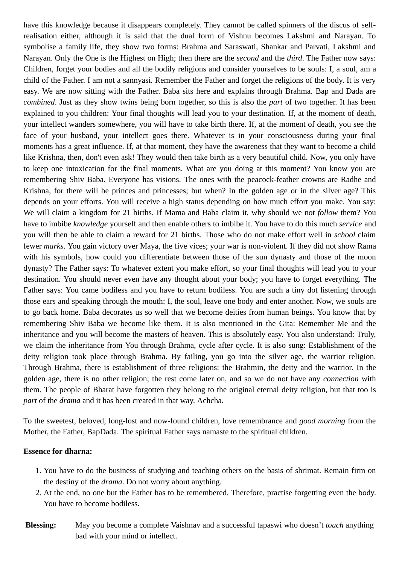have this knowledge because it disappears completely. They cannot be called spinners of the discus of selfrealisation either, although it is said that the dual form of Vishnu becomes Lakshmi and Narayan. To symbolise a family life, they show two forms: Brahma and Saraswati, Shankar and Parvati, Lakshmi and Narayan. Only the One is the Highest on High; then there are the *second* and the *third*. The Father now says: Children, forget your bodies and all the bodily religions and consider yourselves to be souls: I, a soul, am a child of the Father. I am not a sannyasi. Remember the Father and forget the religions of the body. It is very easy. We are now sitting with the Father. Baba sits here and explains through Brahma. Bap and Dada are *combined*. Just as they show twins being born together, so this is also the *part* of two together. It has been explained to you children: Your final thoughts will lead you to your destination. If, at the moment of death, your intellect wanders somewhere, you will have to take birth there. If, at the moment of death, you see the face of your husband, your intellect goes there. Whatever is in your consciousness during your final moments has a great influence. If, at that moment, they have the awareness that they want to become a child like Krishna, then, don't even ask! They would then take birth as a very beautiful child. Now, you only have to keep one intoxication for the final moments. What are you doing at this moment? You know you are remembering Shiv Baba. Everyone has visions. The ones with the peacock-feather crowns are Radhe and Krishna, for there will be princes and princesses; but when? In the golden age or in the silver age? This depends on your efforts. You will receive a high status depending on how much effort you make. You say: We will claim a kingdom for 21 births. If Mama and Baba claim it, why should we not *follow* them? You have to imbibe *knowledge* yourself and then enable others to imbibe it. You have to do this much *service* and you will then be able to claim a reward for 21 births. Those who do not make effort well in *school* claim fewer *marks*. You gain victory over Maya, the five vices; your war is non-violent. If they did not show Rama with his symbols, how could you differentiate between those of the sun dynasty and those of the moon dynasty? The Father says: To whatever extent you make effort, so your final thoughts will lead you to your destination. You should never even have any thought about your body; you have to forget everything. The Father says: You came bodiless and you have to return bodiless. You are such a tiny dot listening through those ears and speaking through the mouth: I, the soul, leave one body and enter another. Now, we souls are to go back home. Baba decorates us so well that we become deities from human beings. You know that by remembering Shiv Baba we become like them. It is also mentioned in the Gita: Remember Me and the inheritance and you will become the masters of heaven. This is absolutely easy. You also understand: Truly, we claim the inheritance from You through Brahma, cycle after cycle. It is also sung: Establishment of the deity religion took place through Brahma. By failing, you go into the silver age, the warrior religion. Through Brahma, there is establishment of three religions: the Brahmin, the deity and the warrior. In the golden age, there is no other religion; the rest come later on, and so we do not have any *connection* with them. The people of Bharat have forgotten they belong to the original eternal deity religion, but that too is *part* of the *drama* and it has been created in that way. Achcha.

To the sweetest, beloved, long-lost and now-found children, love remembrance and *good morning* from the Mother, the Father, BapDada. The spiritual Father says namaste to the spiritual children.

## **Essence for dharna:**

- 1. You have to do the business of studying and teaching others on the basis of shrimat. Remain firm on the destiny of the *drama*. Do not worry about anything.
- 2. At the end, no one but the Father has to be remembered. Therefore, practise forgetting even the body. You have to become bodiless.
- **Blessing:** May you become a complete Vaishnav and a successful tapaswi who doesn't *touch* anything bad with your mind or intellect.